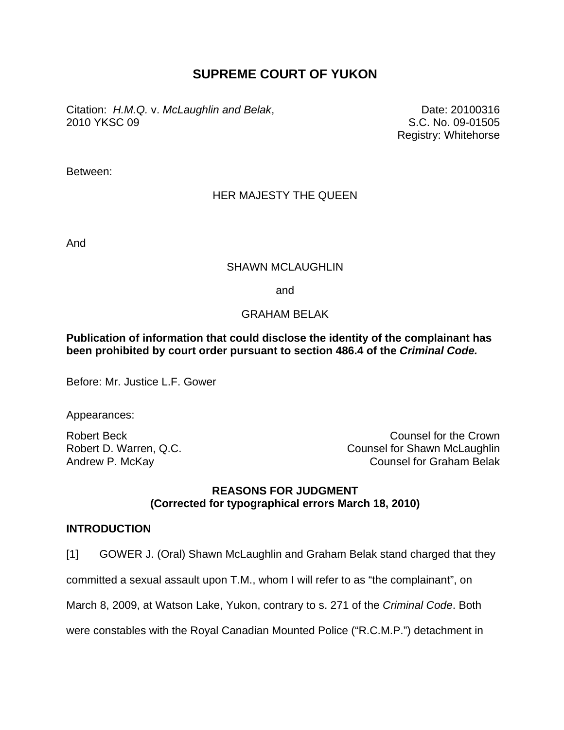# **SUPREME COURT OF YUKON**

Citation: *H.M.Q.* v. *McLaughlin and Belak*, 2010 YKSC 09

Date: 20100316 S.C. No. 09-01505 Registry: Whitehorse

Between:

## HER MAJESTY THE QUEEN

And

## SHAWN MCLAUGHLIN

and

## GRAHAM BELAK

## **Publication of information that could disclose the identity of the complainant has been prohibited by court order pursuant to section 486.4 of the** *Criminal Code.*

Before: Mr. Justice L.F. Gower

Appearances:

Robert D. Warren, Q.C. Andrew P. McKay

Robert Beck Counsel for the Crown Counsel for Shawn McLaughlin Counsel for Graham Belak

## **REASONS FOR JUDGMENT (Corrected for typographical errors March 18, 2010)**

## **INTRODUCTION**

[1] GOWER J. (Oral) Shawn McLaughlin and Graham Belak stand charged that they

committed a sexual assault upon T.M., whom I will refer to as "the complainant", on

March 8, 2009, at Watson Lake, Yukon, contrary to s. 271 of the *Criminal Code*. Both

were constables with the Royal Canadian Mounted Police ("R.C.M.P.") detachment in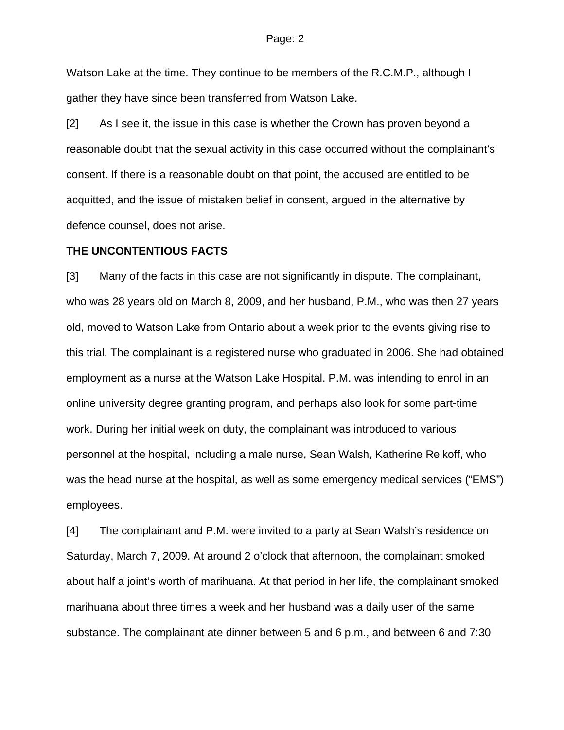Watson Lake at the time. They continue to be members of the R.C.M.P., although I gather they have since been transferred from Watson Lake.

[2] As I see it, the issue in this case is whether the Crown has proven beyond a reasonable doubt that the sexual activity in this case occurred without the complainant's consent. If there is a reasonable doubt on that point, the accused are entitled to be acquitted, and the issue of mistaken belief in consent, argued in the alternative by defence counsel, does not arise.

## **THE UNCONTENTIOUS FACTS**

[3] Many of the facts in this case are not significantly in dispute. The complainant, who was 28 years old on March 8, 2009, and her husband, P.M., who was then 27 years old, moved to Watson Lake from Ontario about a week prior to the events giving rise to this trial. The complainant is a registered nurse who graduated in 2006. She had obtained employment as a nurse at the Watson Lake Hospital. P.M. was intending to enrol in an online university degree granting program, and perhaps also look for some part-time work. During her initial week on duty, the complainant was introduced to various personnel at the hospital, including a male nurse, Sean Walsh, Katherine Relkoff, who was the head nurse at the hospital, as well as some emergency medical services ("EMS") employees.

[4] The complainant and P.M. were invited to a party at Sean Walsh's residence on Saturday, March 7, 2009. At around 2 o'clock that afternoon, the complainant smoked about half a joint's worth of marihuana. At that period in her life, the complainant smoked marihuana about three times a week and her husband was a daily user of the same substance. The complainant ate dinner between 5 and 6 p.m., and between 6 and 7:30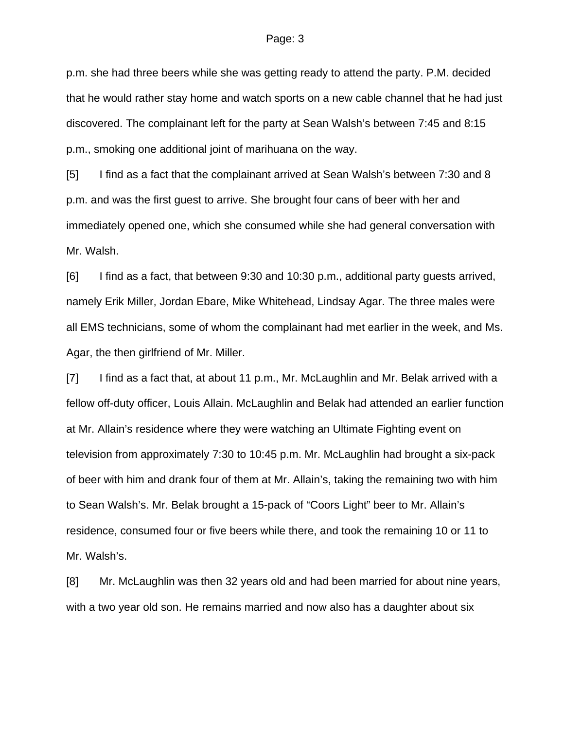p.m. she had three beers while she was getting ready to attend the party. P.M. decided that he would rather stay home and watch sports on a new cable channel that he had just discovered. The complainant left for the party at Sean Walsh's between 7:45 and 8:15 p.m., smoking one additional joint of marihuana on the way.

[5] I find as a fact that the complainant arrived at Sean Walsh's between 7:30 and 8 p.m. and was the first guest to arrive. She brought four cans of beer with her and immediately opened one, which she consumed while she had general conversation with Mr. Walsh.

[6] I find as a fact, that between 9:30 and 10:30 p.m., additional party guests arrived, namely Erik Miller, Jordan Ebare, Mike Whitehead, Lindsay Agar. The three males were all EMS technicians, some of whom the complainant had met earlier in the week, and Ms. Agar, the then girlfriend of Mr. Miller.

[7] I find as a fact that, at about 11 p.m., Mr. McLaughlin and Mr. Belak arrived with a fellow off-duty officer, Louis Allain. McLaughlin and Belak had attended an earlier function at Mr. Allain's residence where they were watching an Ultimate Fighting event on television from approximately 7:30 to 10:45 p.m. Mr. McLaughlin had brought a six-pack of beer with him and drank four of them at Mr. Allain's, taking the remaining two with him to Sean Walsh's. Mr. Belak brought a 15-pack of "Coors Light" beer to Mr. Allain's residence, consumed four or five beers while there, and took the remaining 10 or 11 to Mr. Walsh's.

[8] Mr. McLaughlin was then 32 years old and had been married for about nine years, with a two year old son. He remains married and now also has a daughter about six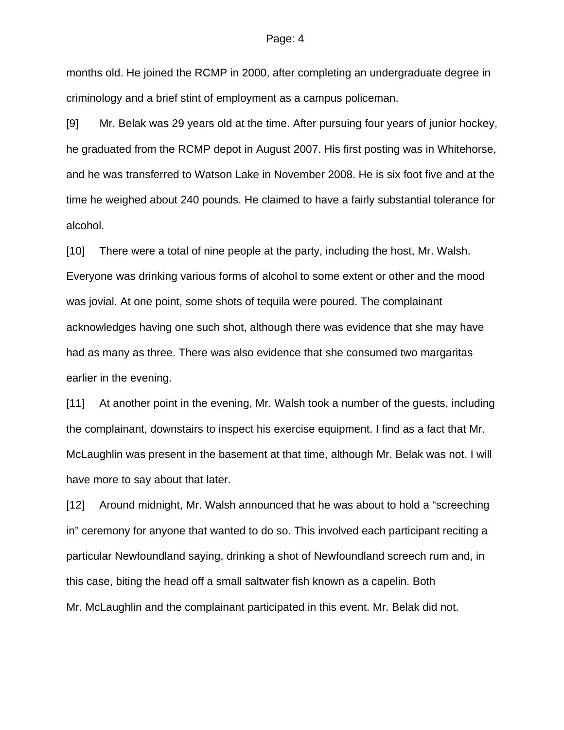months old. He joined the RCMP in 2000, after completing an undergraduate degree in criminology and a brief stint of employment as a campus policeman.

[9] Mr. Belak was 29 years old at the time. After pursuing four years of junior hockey, he graduated from the RCMP depot in August 2007. His first posting was in Whitehorse, and he was transferred to Watson Lake in November 2008. He is six foot five and at the time he weighed about 240 pounds. He claimed to have a fairly substantial tolerance for alcohol.

[10] There were a total of nine people at the party, including the host, Mr. Walsh. Everyone was drinking various forms of alcohol to some extent or other and the mood was jovial. At one point, some shots of tequila were poured. The complainant acknowledges having one such shot, although there was evidence that she may have had as many as three. There was also evidence that she consumed two margaritas earlier in the evening.

[11] At another point in the evening, Mr. Walsh took a number of the guests, including the complainant, downstairs to inspect his exercise equipment. I find as a fact that Mr. McLaughlin was present in the basement at that time, although Mr. Belak was not. I will have more to say about that later.

[12] Around midnight, Mr. Walsh announced that he was about to hold a "screeching in" ceremony for anyone that wanted to do so. This involved each participant reciting a particular Newfoundland saying, drinking a shot of Newfoundland screech rum and, in this case, biting the head off a small saltwater fish known as a capelin. Both Mr. McLaughlin and the complainant participated in this event. Mr. Belak did not.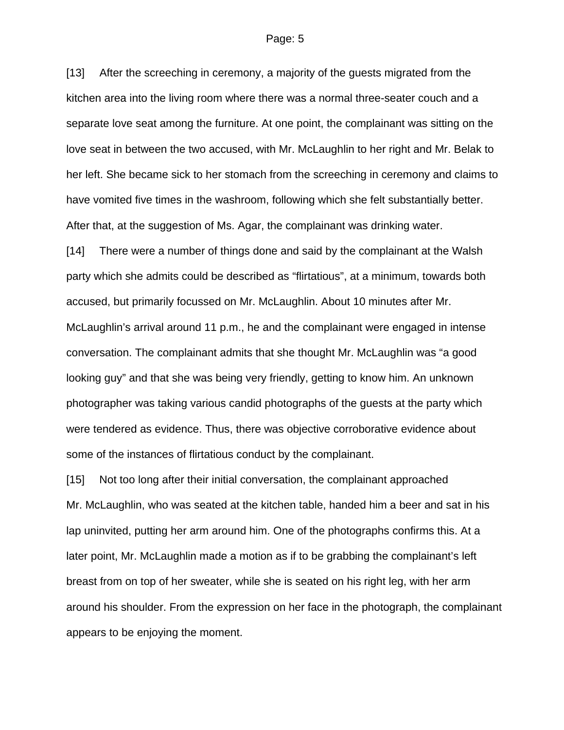[13] After the screeching in ceremony, a majority of the guests migrated from the kitchen area into the living room where there was a normal three-seater couch and a separate love seat among the furniture. At one point, the complainant was sitting on the love seat in between the two accused, with Mr. McLaughlin to her right and Mr. Belak to her left. She became sick to her stomach from the screeching in ceremony and claims to have vomited five times in the washroom, following which she felt substantially better. After that, at the suggestion of Ms. Agar, the complainant was drinking water.

[14] There were a number of things done and said by the complainant at the Walsh party which she admits could be described as "flirtatious", at a minimum, towards both accused, but primarily focussed on Mr. McLaughlin. About 10 minutes after Mr. McLaughlin's arrival around 11 p.m., he and the complainant were engaged in intense conversation. The complainant admits that she thought Mr. McLaughlin was "a good looking guy" and that she was being very friendly, getting to know him. An unknown photographer was taking various candid photographs of the guests at the party which were tendered as evidence. Thus, there was objective corroborative evidence about some of the instances of flirtatious conduct by the complainant.

[15] Not too long after their initial conversation, the complainant approached Mr. McLaughlin, who was seated at the kitchen table, handed him a beer and sat in his lap uninvited, putting her arm around him. One of the photographs confirms this. At a later point, Mr. McLaughlin made a motion as if to be grabbing the complainant's left breast from on top of her sweater, while she is seated on his right leg, with her arm around his shoulder. From the expression on her face in the photograph, the complainant appears to be enjoying the moment.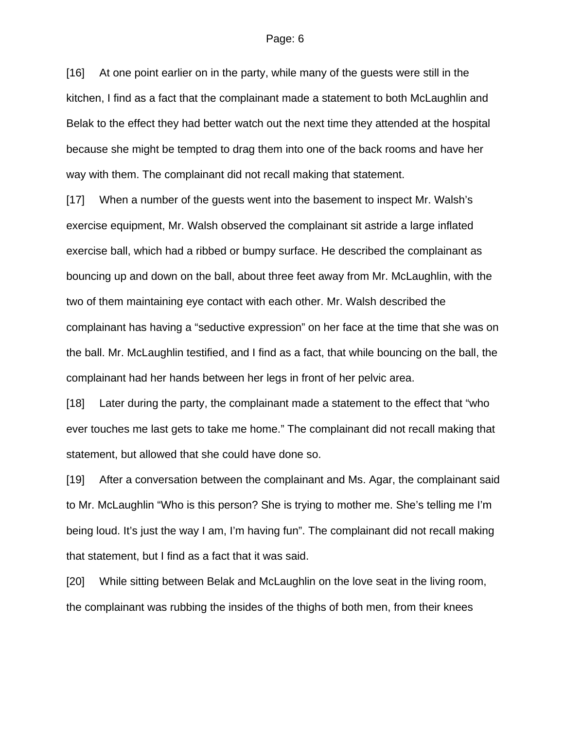[16] At one point earlier on in the party, while many of the guests were still in the kitchen, I find as a fact that the complainant made a statement to both McLaughlin and Belak to the effect they had better watch out the next time they attended at the hospital because she might be tempted to drag them into one of the back rooms and have her way with them. The complainant did not recall making that statement.

[17] When a number of the guests went into the basement to inspect Mr. Walsh's exercise equipment, Mr. Walsh observed the complainant sit astride a large inflated exercise ball, which had a ribbed or bumpy surface. He described the complainant as bouncing up and down on the ball, about three feet away from Mr. McLaughlin, with the two of them maintaining eye contact with each other. Mr. Walsh described the complainant has having a "seductive expression" on her face at the time that she was on the ball. Mr. McLaughlin testified, and I find as a fact, that while bouncing on the ball, the complainant had her hands between her legs in front of her pelvic area.

[18] Later during the party, the complainant made a statement to the effect that "who ever touches me last gets to take me home." The complainant did not recall making that statement, but allowed that she could have done so.

[19] After a conversation between the complainant and Ms. Agar, the complainant said to Mr. McLaughlin "Who is this person? She is trying to mother me. She's telling me I'm being loud. It's just the way I am, I'm having fun". The complainant did not recall making that statement, but I find as a fact that it was said.

[20] While sitting between Belak and McLaughlin on the love seat in the living room, the complainant was rubbing the insides of the thighs of both men, from their knees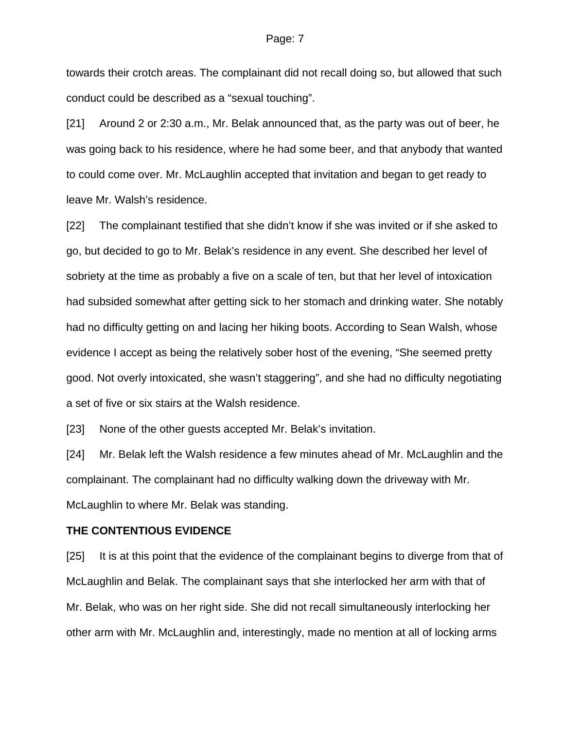towards their crotch areas. The complainant did not recall doing so, but allowed that such conduct could be described as a "sexual touching".

[21] Around 2 or 2:30 a.m., Mr. Belak announced that, as the party was out of beer, he was going back to his residence, where he had some beer, and that anybody that wanted to could come over. Mr. McLaughlin accepted that invitation and began to get ready to leave Mr. Walsh's residence.

[22] The complainant testified that she didn't know if she was invited or if she asked to go, but decided to go to Mr. Belak's residence in any event. She described her level of sobriety at the time as probably a five on a scale of ten, but that her level of intoxication had subsided somewhat after getting sick to her stomach and drinking water. She notably had no difficulty getting on and lacing her hiking boots. According to Sean Walsh, whose evidence I accept as being the relatively sober host of the evening, "She seemed pretty good. Not overly intoxicated, she wasn't staggering", and she had no difficulty negotiating a set of five or six stairs at the Walsh residence.

[23] None of the other quests accepted Mr. Belak's invitation.

[24] Mr. Belak left the Walsh residence a few minutes ahead of Mr. McLaughlin and the complainant. The complainant had no difficulty walking down the driveway with Mr. McLaughlin to where Mr. Belak was standing.

## **THE CONTENTIOUS EVIDENCE**

[25] It is at this point that the evidence of the complainant begins to diverge from that of McLaughlin and Belak. The complainant says that she interlocked her arm with that of Mr. Belak, who was on her right side. She did not recall simultaneously interlocking her other arm with Mr. McLaughlin and, interestingly, made no mention at all of locking arms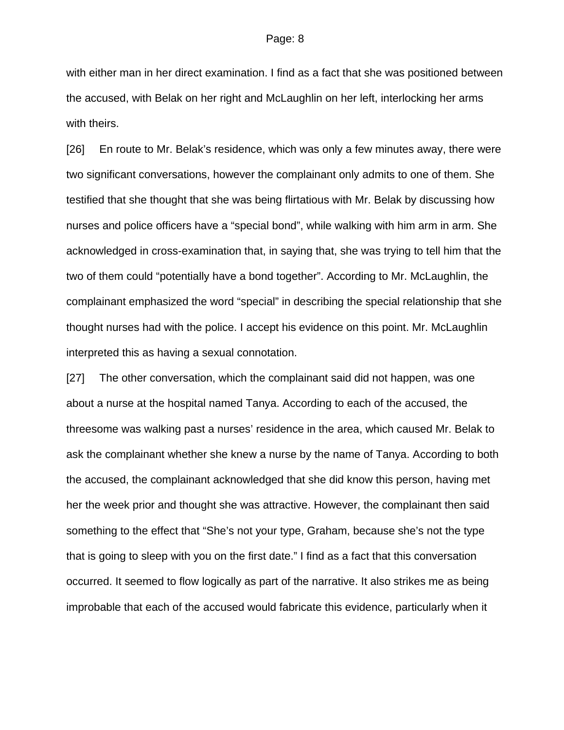with either man in her direct examination. I find as a fact that she was positioned between the accused, with Belak on her right and McLaughlin on her left, interlocking her arms with theirs.

[26] En route to Mr. Belak's residence, which was only a few minutes away, there were two significant conversations, however the complainant only admits to one of them. She testified that she thought that she was being flirtatious with Mr. Belak by discussing how nurses and police officers have a "special bond", while walking with him arm in arm. She acknowledged in cross-examination that, in saying that, she was trying to tell him that the two of them could "potentially have a bond together". According to Mr. McLaughlin, the complainant emphasized the word "special" in describing the special relationship that she thought nurses had with the police. I accept his evidence on this point. Mr. McLaughlin interpreted this as having a sexual connotation.

[27] The other conversation, which the complainant said did not happen, was one about a nurse at the hospital named Tanya. According to each of the accused, the threesome was walking past a nurses' residence in the area, which caused Mr. Belak to ask the complainant whether she knew a nurse by the name of Tanya. According to both the accused, the complainant acknowledged that she did know this person, having met her the week prior and thought she was attractive. However, the complainant then said something to the effect that "She's not your type, Graham, because she's not the type that is going to sleep with you on the first date." I find as a fact that this conversation occurred. It seemed to flow logically as part of the narrative. It also strikes me as being improbable that each of the accused would fabricate this evidence, particularly when it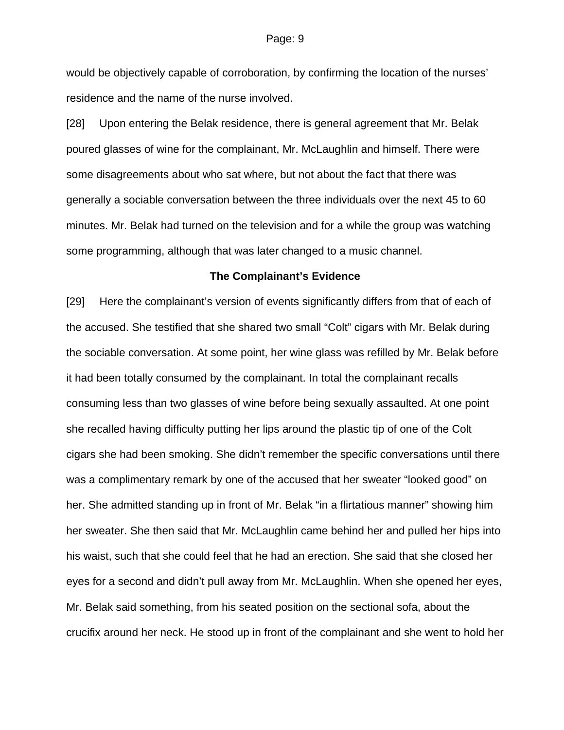would be objectively capable of corroboration, by confirming the location of the nurses' residence and the name of the nurse involved.

[28] Upon entering the Belak residence, there is general agreement that Mr. Belak poured glasses of wine for the complainant, Mr. McLaughlin and himself. There were some disagreements about who sat where, but not about the fact that there was generally a sociable conversation between the three individuals over the next 45 to 60 minutes. Mr. Belak had turned on the television and for a while the group was watching some programming, although that was later changed to a music channel.

## **The Complainant's Evidence**

[29] Here the complainant's version of events significantly differs from that of each of the accused. She testified that she shared two small "Colt" cigars with Mr. Belak during the sociable conversation. At some point, her wine glass was refilled by Mr. Belak before it had been totally consumed by the complainant. In total the complainant recalls consuming less than two glasses of wine before being sexually assaulted. At one point she recalled having difficulty putting her lips around the plastic tip of one of the Colt cigars she had been smoking. She didn't remember the specific conversations until there was a complimentary remark by one of the accused that her sweater "looked good" on her. She admitted standing up in front of Mr. Belak "in a flirtatious manner" showing him her sweater. She then said that Mr. McLaughlin came behind her and pulled her hips into his waist, such that she could feel that he had an erection. She said that she closed her eyes for a second and didn't pull away from Mr. McLaughlin. When she opened her eyes, Mr. Belak said something, from his seated position on the sectional sofa, about the crucifix around her neck. He stood up in front of the complainant and she went to hold her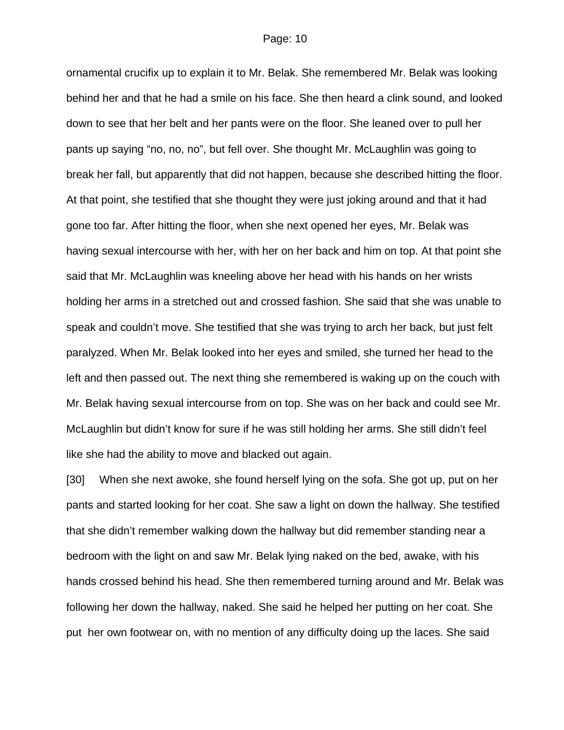ornamental crucifix up to explain it to Mr. Belak. She remembered Mr. Belak was looking behind her and that he had a smile on his face. She then heard a clink sound, and looked down to see that her belt and her pants were on the floor. She leaned over to pull her pants up saying "no, no, no", but fell over. She thought Mr. McLaughlin was going to break her fall, but apparently that did not happen, because she described hitting the floor. At that point, she testified that she thought they were just joking around and that it had gone too far. After hitting the floor, when she next opened her eyes, Mr. Belak was having sexual intercourse with her, with her on her back and him on top. At that point she said that Mr. McLaughlin was kneeling above her head with his hands on her wrists holding her arms in a stretched out and crossed fashion. She said that she was unable to speak and couldn't move. She testified that she was trying to arch her back, but just felt paralyzed. When Mr. Belak looked into her eyes and smiled, she turned her head to the left and then passed out. The next thing she remembered is waking up on the couch with Mr. Belak having sexual intercourse from on top. She was on her back and could see Mr. McLaughlin but didn't know for sure if he was still holding her arms. She still didn't feel like she had the ability to move and blacked out again.

[30] When she next awoke, she found herself lying on the sofa. She got up, put on her pants and started looking for her coat. She saw a light on down the hallway. She testified that she didn't remember walking down the hallway but did remember standing near a bedroom with the light on and saw Mr. Belak lying naked on the bed, awake, with his hands crossed behind his head. She then remembered turning around and Mr. Belak was following her down the hallway, naked. She said he helped her putting on her coat. She put her own footwear on, with no mention of any difficulty doing up the laces. She said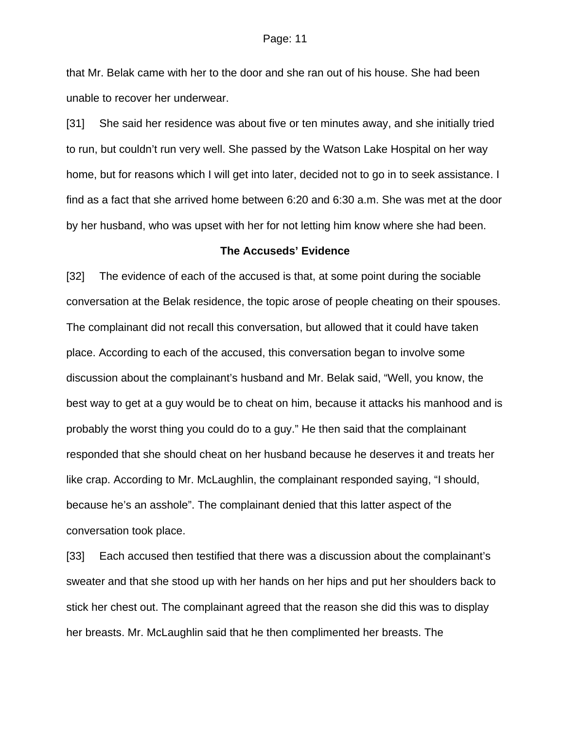that Mr. Belak came with her to the door and she ran out of his house. She had been unable to recover her underwear.

[31] She said her residence was about five or ten minutes away, and she initially tried to run, but couldn't run very well. She passed by the Watson Lake Hospital on her way home, but for reasons which I will get into later, decided not to go in to seek assistance. I find as a fact that she arrived home between 6:20 and 6:30 a.m. She was met at the door by her husband, who was upset with her for not letting him know where she had been.

## **The Accuseds' Evidence**

[32] The evidence of each of the accused is that, at some point during the sociable conversation at the Belak residence, the topic arose of people cheating on their spouses. The complainant did not recall this conversation, but allowed that it could have taken place. According to each of the accused, this conversation began to involve some discussion about the complainant's husband and Mr. Belak said, "Well, you know, the best way to get at a guy would be to cheat on him, because it attacks his manhood and is probably the worst thing you could do to a guy." He then said that the complainant responded that she should cheat on her husband because he deserves it and treats her like crap. According to Mr. McLaughlin, the complainant responded saying, "I should, because he's an asshole". The complainant denied that this latter aspect of the conversation took place.

[33] Each accused then testified that there was a discussion about the complainant's sweater and that she stood up with her hands on her hips and put her shoulders back to stick her chest out. The complainant agreed that the reason she did this was to display her breasts. Mr. McLaughlin said that he then complimented her breasts. The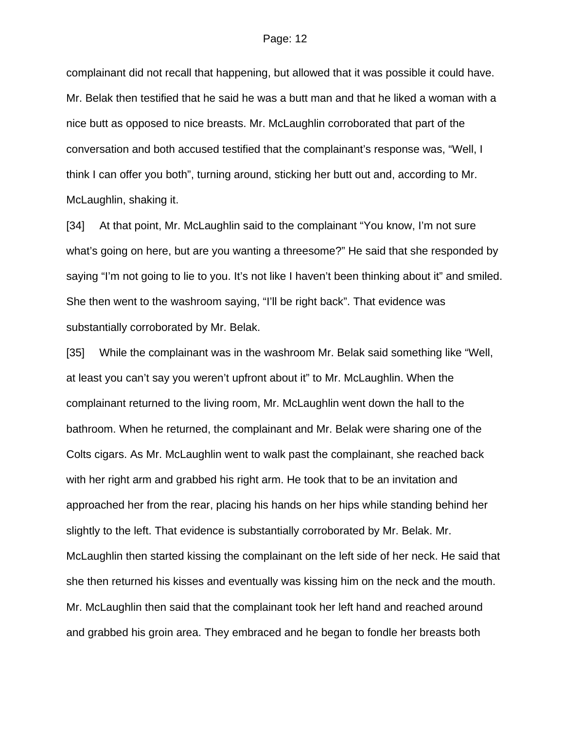complainant did not recall that happening, but allowed that it was possible it could have. Mr. Belak then testified that he said he was a butt man and that he liked a woman with a nice butt as opposed to nice breasts. Mr. McLaughlin corroborated that part of the conversation and both accused testified that the complainant's response was, "Well, I think I can offer you both", turning around, sticking her butt out and, according to Mr. McLaughlin, shaking it.

[34] At that point, Mr. McLaughlin said to the complainant "You know, I'm not sure what's going on here, but are you wanting a threesome?" He said that she responded by saying "I'm not going to lie to you. It's not like I haven't been thinking about it" and smiled. She then went to the washroom saying, "I'll be right back". That evidence was substantially corroborated by Mr. Belak.

[35] While the complainant was in the washroom Mr. Belak said something like "Well, at least you can't say you weren't upfront about it" to Mr. McLaughlin. When the complainant returned to the living room, Mr. McLaughlin went down the hall to the bathroom. When he returned, the complainant and Mr. Belak were sharing one of the Colts cigars. As Mr. McLaughlin went to walk past the complainant, she reached back with her right arm and grabbed his right arm. He took that to be an invitation and approached her from the rear, placing his hands on her hips while standing behind her slightly to the left. That evidence is substantially corroborated by Mr. Belak. Mr. McLaughlin then started kissing the complainant on the left side of her neck. He said that she then returned his kisses and eventually was kissing him on the neck and the mouth. Mr. McLaughlin then said that the complainant took her left hand and reached around and grabbed his groin area. They embraced and he began to fondle her breasts both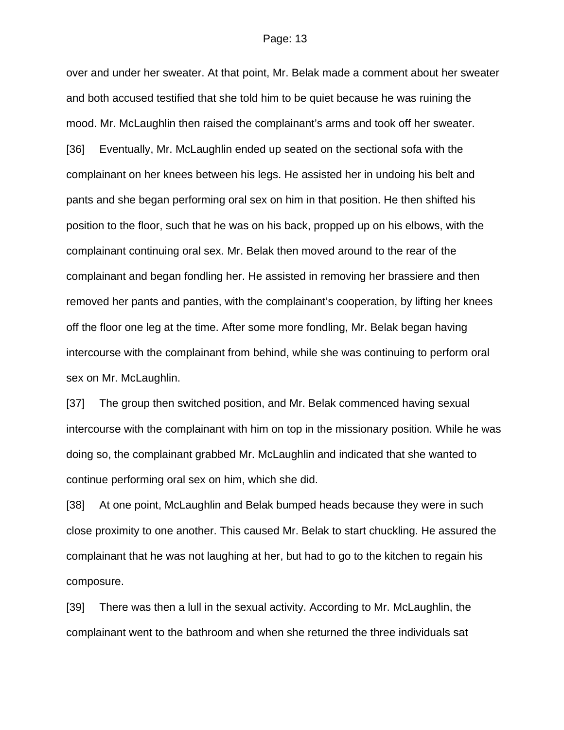over and under her sweater. At that point, Mr. Belak made a comment about her sweater and both accused testified that she told him to be quiet because he was ruining the mood. Mr. McLaughlin then raised the complainant's arms and took off her sweater. [36] Eventually, Mr. McLaughlin ended up seated on the sectional sofa with the complainant on her knees between his legs. He assisted her in undoing his belt and pants and she began performing oral sex on him in that position. He then shifted his position to the floor, such that he was on his back, propped up on his elbows, with the complainant continuing oral sex. Mr. Belak then moved around to the rear of the complainant and began fondling her. He assisted in removing her brassiere and then removed her pants and panties, with the complainant's cooperation, by lifting her knees off the floor one leg at the time. After some more fondling, Mr. Belak began having intercourse with the complainant from behind, while she was continuing to perform oral sex on Mr. McLaughlin.

[37] The group then switched position, and Mr. Belak commenced having sexual intercourse with the complainant with him on top in the missionary position. While he was doing so, the complainant grabbed Mr. McLaughlin and indicated that she wanted to continue performing oral sex on him, which she did.

[38] At one point, McLaughlin and Belak bumped heads because they were in such close proximity to one another. This caused Mr. Belak to start chuckling. He assured the complainant that he was not laughing at her, but had to go to the kitchen to regain his composure.

[39] There was then a lull in the sexual activity. According to Mr. McLaughlin, the complainant went to the bathroom and when she returned the three individuals sat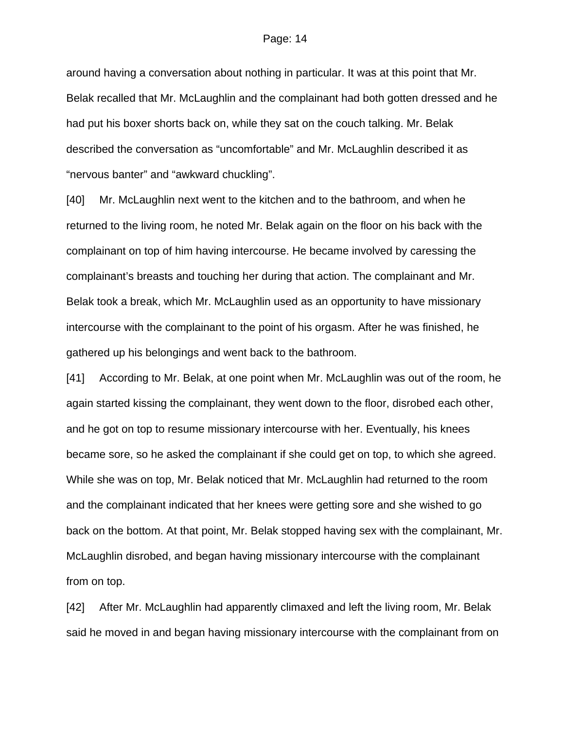around having a conversation about nothing in particular. It was at this point that Mr. Belak recalled that Mr. McLaughlin and the complainant had both gotten dressed and he had put his boxer shorts back on, while they sat on the couch talking. Mr. Belak described the conversation as "uncomfortable" and Mr. McLaughlin described it as "nervous banter" and "awkward chuckling".

[40] Mr. McLaughlin next went to the kitchen and to the bathroom, and when he returned to the living room, he noted Mr. Belak again on the floor on his back with the complainant on top of him having intercourse. He became involved by caressing the complainant's breasts and touching her during that action. The complainant and Mr. Belak took a break, which Mr. McLaughlin used as an opportunity to have missionary intercourse with the complainant to the point of his orgasm. After he was finished, he gathered up his belongings and went back to the bathroom.

[41] According to Mr. Belak, at one point when Mr. McLaughlin was out of the room, he again started kissing the complainant, they went down to the floor, disrobed each other, and he got on top to resume missionary intercourse with her. Eventually, his knees became sore, so he asked the complainant if she could get on top, to which she agreed. While she was on top, Mr. Belak noticed that Mr. McLaughlin had returned to the room and the complainant indicated that her knees were getting sore and she wished to go back on the bottom. At that point, Mr. Belak stopped having sex with the complainant, Mr. McLaughlin disrobed, and began having missionary intercourse with the complainant from on top.

[42] After Mr. McLaughlin had apparently climaxed and left the living room, Mr. Belak said he moved in and began having missionary intercourse with the complainant from on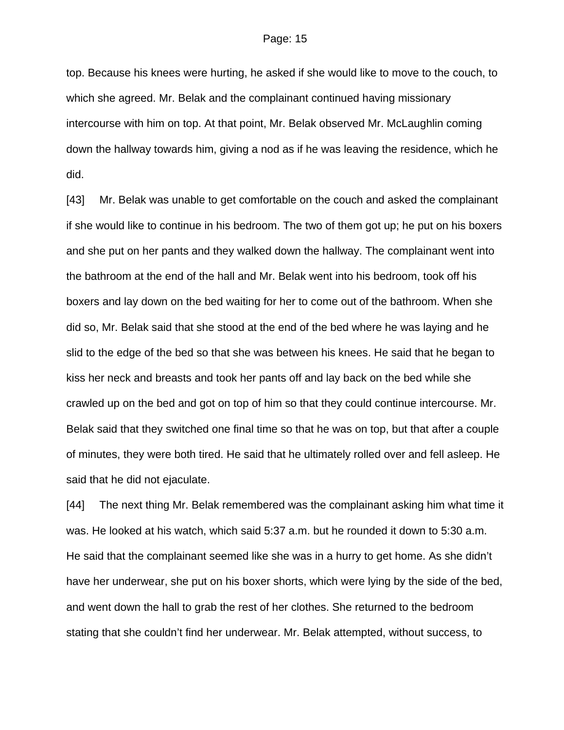top. Because his knees were hurting, he asked if she would like to move to the couch, to which she agreed. Mr. Belak and the complainant continued having missionary intercourse with him on top. At that point, Mr. Belak observed Mr. McLaughlin coming down the hallway towards him, giving a nod as if he was leaving the residence, which he did.

[43] Mr. Belak was unable to get comfortable on the couch and asked the complainant if she would like to continue in his bedroom. The two of them got up; he put on his boxers and she put on her pants and they walked down the hallway. The complainant went into the bathroom at the end of the hall and Mr. Belak went into his bedroom, took off his boxers and lay down on the bed waiting for her to come out of the bathroom. When she did so, Mr. Belak said that she stood at the end of the bed where he was laying and he slid to the edge of the bed so that she was between his knees. He said that he began to kiss her neck and breasts and took her pants off and lay back on the bed while she crawled up on the bed and got on top of him so that they could continue intercourse. Mr. Belak said that they switched one final time so that he was on top, but that after a couple of minutes, they were both tired. He said that he ultimately rolled over and fell asleep. He said that he did not ejaculate.

[44] The next thing Mr. Belak remembered was the complainant asking him what time it was. He looked at his watch, which said 5:37 a.m. but he rounded it down to 5:30 a.m. He said that the complainant seemed like she was in a hurry to get home. As she didn't have her underwear, she put on his boxer shorts, which were lying by the side of the bed, and went down the hall to grab the rest of her clothes. She returned to the bedroom stating that she couldn't find her underwear. Mr. Belak attempted, without success, to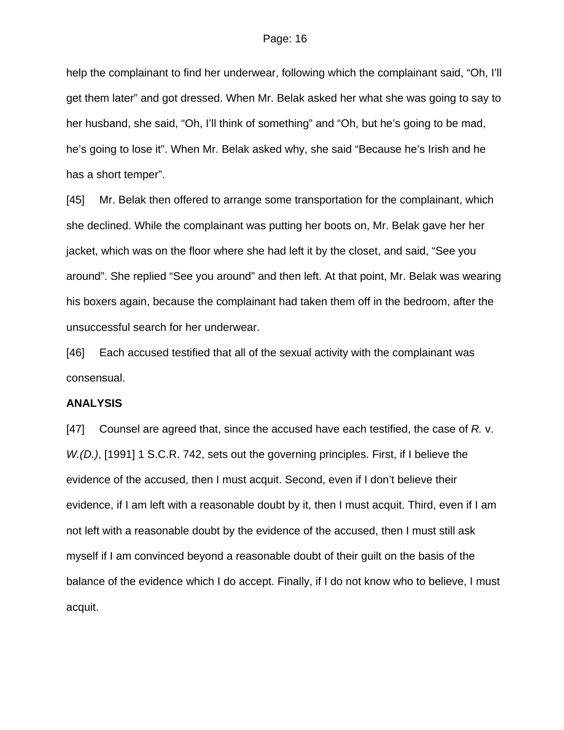help the complainant to find her underwear, following which the complainant said, "Oh, I'll get them later" and got dressed. When Mr. Belak asked her what she was going to say to her husband, she said, "Oh, I'll think of something" and "Oh, but he's going to be mad, he's going to lose it". When Mr. Belak asked why, she said "Because he's Irish and he has a short temper".

[45] Mr. Belak then offered to arrange some transportation for the complainant, which she declined. While the complainant was putting her boots on, Mr. Belak gave her her jacket, which was on the floor where she had left it by the closet, and said, "See you around". She replied "See you around" and then left. At that point, Mr. Belak was wearing his boxers again, because the complainant had taken them off in the bedroom, after the unsuccessful search for her underwear.

[46] Each accused testified that all of the sexual activity with the complainant was consensual.

## **ANALYSIS**

[47] Counsel are agreed that, since the accused have each testified, the case of *R.* v. *W.(D.)*, [1991] 1 S.C.R. 742, sets out the governing principles. First, if I believe the evidence of the accused, then I must acquit. Second, even if I don't believe their evidence, if I am left with a reasonable doubt by it, then I must acquit. Third, even if I am not left with a reasonable doubt by the evidence of the accused, then I must still ask myself if I am convinced beyond a reasonable doubt of their guilt on the basis of the balance of the evidence which I do accept. Finally, if I do not know who to believe, I must acquit.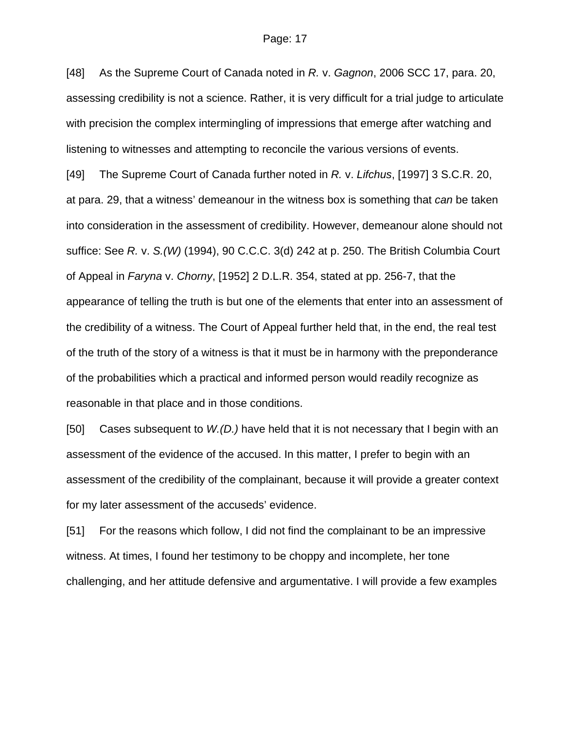[48] As the Supreme Court of Canada noted in *R.* v. *Gagnon*, 2006 SCC 17, para. 20, assessing credibility is not a science. Rather, it is very difficult for a trial judge to articulate with precision the complex intermingling of impressions that emerge after watching and listening to witnesses and attempting to reconcile the various versions of events. [49] The Supreme Court of Canada further noted in *R.* v. *Lifchus*, [1997] 3 S.C.R. 20, at para. 29, that a witness' demeanour in the witness box is something that *can* be taken into consideration in the assessment of credibility. However, demeanour alone should not suffice: See *R.* v. *S.(W)* (1994), 90 C.C.C. 3(d) 242 at p. 250. The British Columbia Court of Appeal in *Faryna* v. *Chorny*, [1952] 2 D.L.R. 354, stated at pp. 256-7, that the appearance of telling the truth is but one of the elements that enter into an assessment of the credibility of a witness. The Court of Appeal further held that, in the end, the real test of the truth of the story of a witness is that it must be in harmony with the preponderance of the probabilities which a practical and informed person would readily recognize as reasonable in that place and in those conditions.

[50] Cases subsequent to *W.(D.)* have held that it is not necessary that I begin with an assessment of the evidence of the accused. In this matter, I prefer to begin with an assessment of the credibility of the complainant, because it will provide a greater context for my later assessment of the accuseds' evidence.

[51] For the reasons which follow, I did not find the complainant to be an impressive witness. At times, I found her testimony to be choppy and incomplete, her tone challenging, and her attitude defensive and argumentative. I will provide a few examples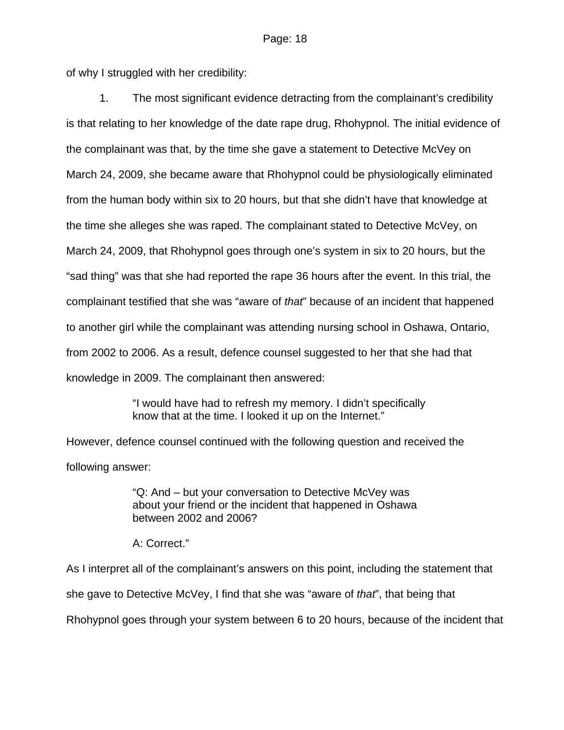of why I struggled with her credibility:

1. The most significant evidence detracting from the complainant's credibility is that relating to her knowledge of the date rape drug, Rhohypnol. The initial evidence of the complainant was that, by the time she gave a statement to Detective McVey on March 24, 2009, she became aware that Rhohypnol could be physiologically eliminated from the human body within six to 20 hours, but that she didn't have that knowledge at the time she alleges she was raped. The complainant stated to Detective McVey, on March 24, 2009, that Rhohypnol goes through one's system in six to 20 hours, but the "sad thing" was that she had reported the rape 36 hours after the event. In this trial, the complainant testified that she was "aware of *that*" because of an incident that happened to another girl while the complainant was attending nursing school in Oshawa, Ontario, from 2002 to 2006. As a result, defence counsel suggested to her that she had that knowledge in 2009. The complainant then answered:

> "I would have had to refresh my memory. I didn't specifically know that at the time. I looked it up on the Internet."

However, defence counsel continued with the following question and received the following answer:

> "Q: And – but your conversation to Detective McVey was about your friend or the incident that happened in Oshawa between 2002 and 2006?

A: Correct."

As I interpret all of the complainant's answers on this point, including the statement that

she gave to Detective McVey, I find that she was "aware of *that*", that being that

Rhohypnol goes through your system between 6 to 20 hours, because of the incident that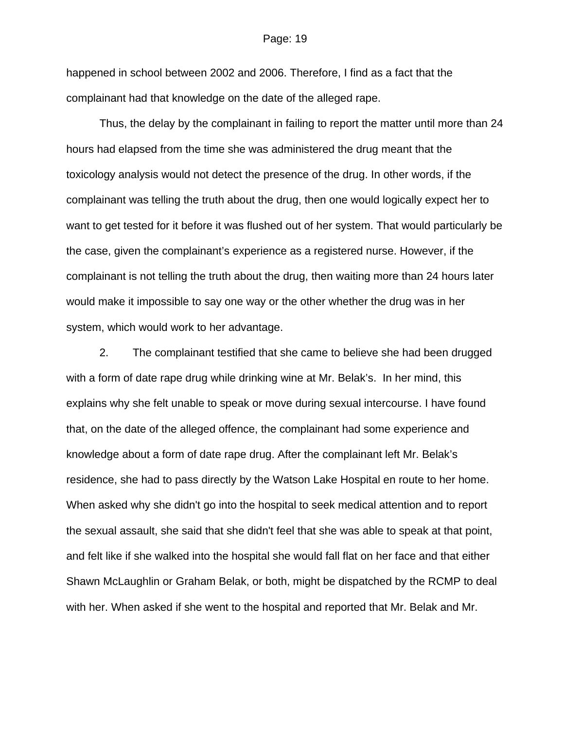happened in school between 2002 and 2006. Therefore, I find as a fact that the complainant had that knowledge on the date of the alleged rape.

Thus, the delay by the complainant in failing to report the matter until more than 24 hours had elapsed from the time she was administered the drug meant that the toxicology analysis would not detect the presence of the drug. In other words, if the complainant was telling the truth about the drug, then one would logically expect her to want to get tested for it before it was flushed out of her system. That would particularly be the case, given the complainant's experience as a registered nurse. However, if the complainant is not telling the truth about the drug, then waiting more than 24 hours later would make it impossible to say one way or the other whether the drug was in her system, which would work to her advantage.

2. The complainant testified that she came to believe she had been drugged with a form of date rape drug while drinking wine at Mr. Belak's. In her mind, this explains why she felt unable to speak or move during sexual intercourse. I have found that, on the date of the alleged offence, the complainant had some experience and knowledge about a form of date rape drug. After the complainant left Mr. Belak's residence, she had to pass directly by the Watson Lake Hospital en route to her home. When asked why she didn't go into the hospital to seek medical attention and to report the sexual assault, she said that she didn't feel that she was able to speak at that point, and felt like if she walked into the hospital she would fall flat on her face and that either Shawn McLaughlin or Graham Belak, or both, might be dispatched by the RCMP to deal with her. When asked if she went to the hospital and reported that Mr. Belak and Mr.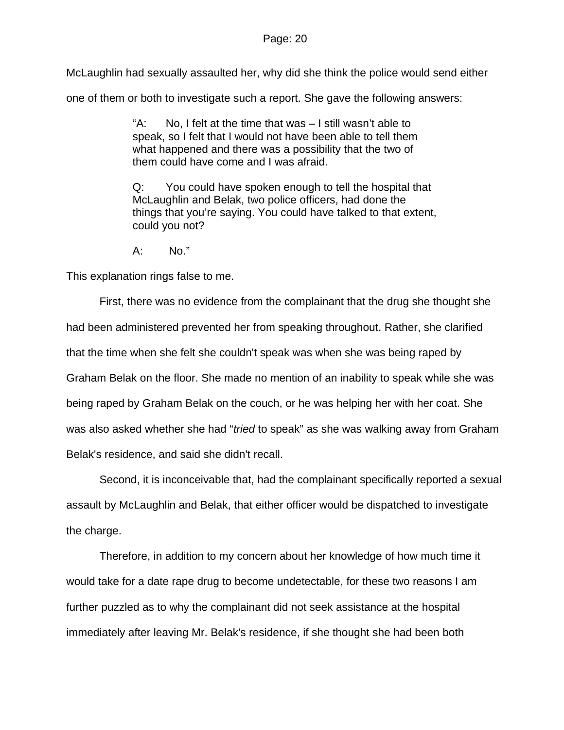McLaughlin had sexually assaulted her, why did she think the police would send either

one of them or both to investigate such a report. She gave the following answers:

"A: No, I felt at the time that was – I still wasn't able to speak, so I felt that I would not have been able to tell them what happened and there was a possibility that the two of them could have come and I was afraid.

Q: You could have spoken enough to tell the hospital that McLaughlin and Belak, two police officers, had done the things that you're saying. You could have talked to that extent, could you not?

A: No."

This explanation rings false to me.

First, there was no evidence from the complainant that the drug she thought she had been administered prevented her from speaking throughout. Rather, she clarified that the time when she felt she couldn't speak was when she was being raped by Graham Belak on the floor. She made no mention of an inability to speak while she was being raped by Graham Belak on the couch, or he was helping her with her coat. She was also asked whether she had "*tried* to speak" as she was walking away from Graham Belak's residence, and said she didn't recall.

Second, it is inconceivable that, had the complainant specifically reported a sexual assault by McLaughlin and Belak, that either officer would be dispatched to investigate the charge.

Therefore, in addition to my concern about her knowledge of how much time it would take for a date rape drug to become undetectable, for these two reasons I am further puzzled as to why the complainant did not seek assistance at the hospital immediately after leaving Mr. Belak's residence, if she thought she had been both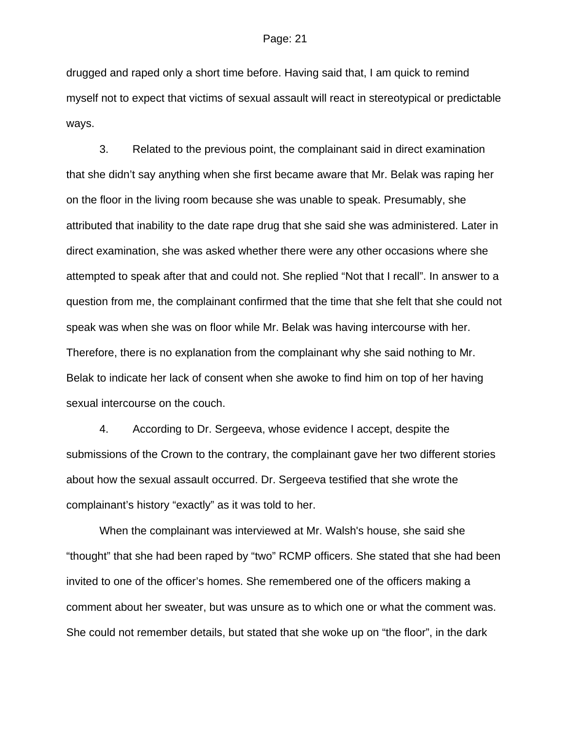drugged and raped only a short time before. Having said that, I am quick to remind myself not to expect that victims of sexual assault will react in stereotypical or predictable ways.

3. Related to the previous point, the complainant said in direct examination that she didn't say anything when she first became aware that Mr. Belak was raping her on the floor in the living room because she was unable to speak. Presumably, she attributed that inability to the date rape drug that she said she was administered. Later in direct examination, she was asked whether there were any other occasions where she attempted to speak after that and could not. She replied "Not that I recall". In answer to a question from me, the complainant confirmed that the time that she felt that she could not speak was when she was on floor while Mr. Belak was having intercourse with her. Therefore, there is no explanation from the complainant why she said nothing to Mr. Belak to indicate her lack of consent when she awoke to find him on top of her having sexual intercourse on the couch.

4. According to Dr. Sergeeva, whose evidence I accept, despite the submissions of the Crown to the contrary, the complainant gave her two different stories about how the sexual assault occurred. Dr. Sergeeva testified that she wrote the complainant's history "exactly" as it was told to her.

When the complainant was interviewed at Mr. Walsh's house, she said she "thought" that she had been raped by "two" RCMP officers. She stated that she had been invited to one of the officer's homes. She remembered one of the officers making a comment about her sweater, but was unsure as to which one or what the comment was. She could not remember details, but stated that she woke up on "the floor", in the dark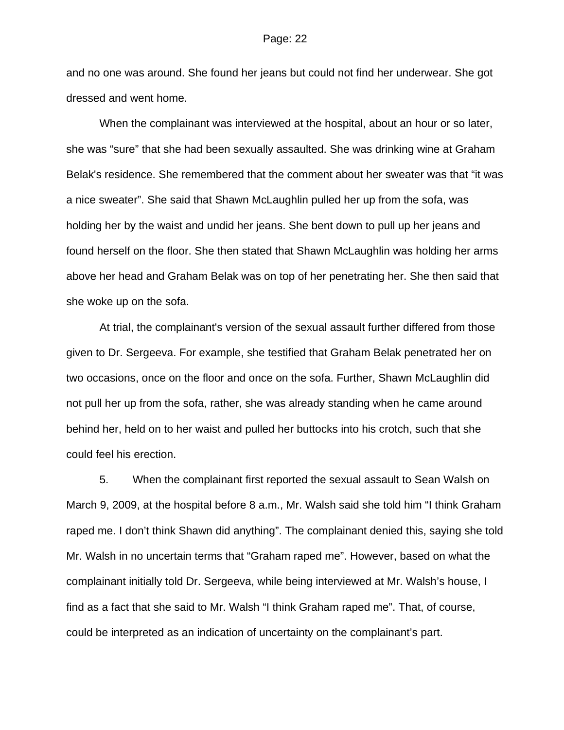and no one was around. She found her jeans but could not find her underwear. She got dressed and went home.

When the complainant was interviewed at the hospital, about an hour or so later, she was "sure" that she had been sexually assaulted. She was drinking wine at Graham Belak's residence. She remembered that the comment about her sweater was that "it was a nice sweater". She said that Shawn McLaughlin pulled her up from the sofa, was holding her by the waist and undid her jeans. She bent down to pull up her jeans and found herself on the floor. She then stated that Shawn McLaughlin was holding her arms above her head and Graham Belak was on top of her penetrating her. She then said that she woke up on the sofa.

At trial, the complainant's version of the sexual assault further differed from those given to Dr. Sergeeva. For example, she testified that Graham Belak penetrated her on two occasions, once on the floor and once on the sofa. Further, Shawn McLaughlin did not pull her up from the sofa, rather, she was already standing when he came around behind her, held on to her waist and pulled her buttocks into his crotch, such that she could feel his erection.

5. When the complainant first reported the sexual assault to Sean Walsh on March 9, 2009, at the hospital before 8 a.m., Mr. Walsh said she told him "I think Graham raped me. I don't think Shawn did anything". The complainant denied this, saying she told Mr. Walsh in no uncertain terms that "Graham raped me". However, based on what the complainant initially told Dr. Sergeeva, while being interviewed at Mr. Walsh's house, I find as a fact that she said to Mr. Walsh "I think Graham raped me". That, of course, could be interpreted as an indication of uncertainty on the complainant's part.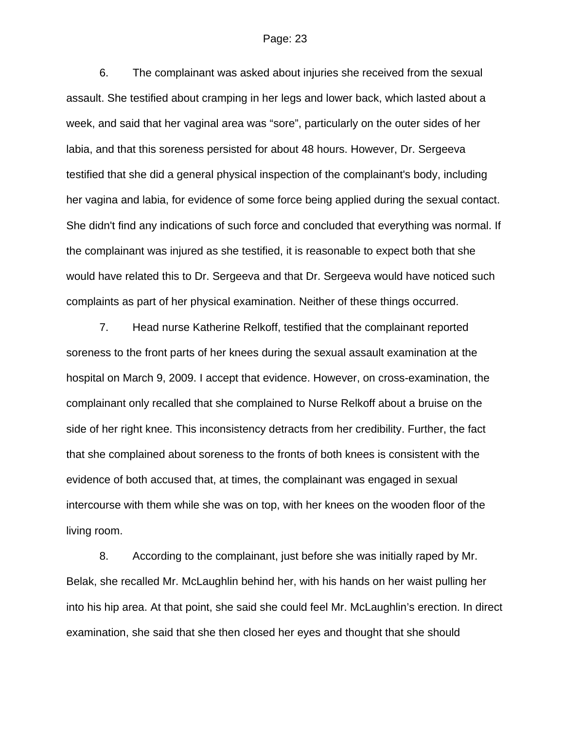6. The complainant was asked about injuries she received from the sexual assault. She testified about cramping in her legs and lower back, which lasted about a week, and said that her vaginal area was "sore", particularly on the outer sides of her labia, and that this soreness persisted for about 48 hours. However, Dr. Sergeeva testified that she did a general physical inspection of the complainant's body, including her vagina and labia, for evidence of some force being applied during the sexual contact. She didn't find any indications of such force and concluded that everything was normal. If the complainant was injured as she testified, it is reasonable to expect both that she would have related this to Dr. Sergeeva and that Dr. Sergeeva would have noticed such complaints as part of her physical examination. Neither of these things occurred.

7. Head nurse Katherine Relkoff, testified that the complainant reported soreness to the front parts of her knees during the sexual assault examination at the hospital on March 9, 2009. I accept that evidence. However, on cross-examination, the complainant only recalled that she complained to Nurse Relkoff about a bruise on the side of her right knee. This inconsistency detracts from her credibility. Further, the fact that she complained about soreness to the fronts of both knees is consistent with the evidence of both accused that, at times, the complainant was engaged in sexual intercourse with them while she was on top, with her knees on the wooden floor of the living room.

8. According to the complainant, just before she was initially raped by Mr. Belak, she recalled Mr. McLaughlin behind her, with his hands on her waist pulling her into his hip area. At that point, she said she could feel Mr. McLaughlin's erection. In direct examination, she said that she then closed her eyes and thought that she should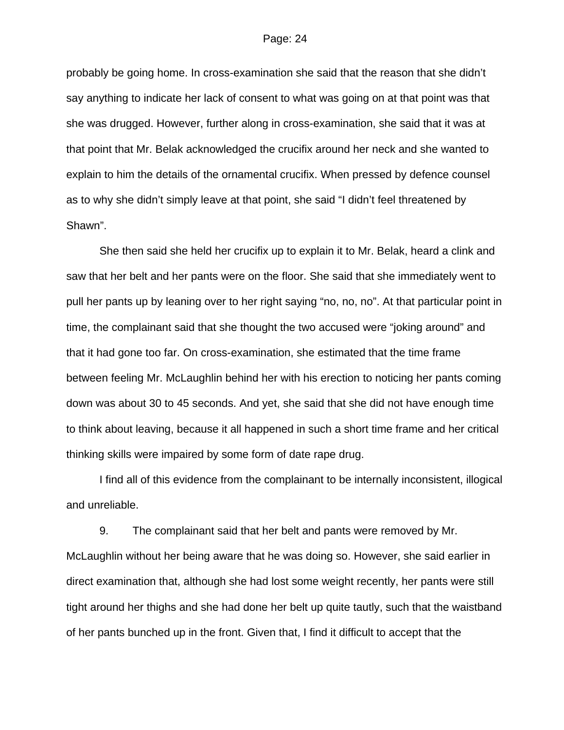probably be going home. In cross-examination she said that the reason that she didn't say anything to indicate her lack of consent to what was going on at that point was that she was drugged. However, further along in cross-examination, she said that it was at that point that Mr. Belak acknowledged the crucifix around her neck and she wanted to explain to him the details of the ornamental crucifix. When pressed by defence counsel as to why she didn't simply leave at that point, she said "I didn't feel threatened by Shawn".

She then said she held her crucifix up to explain it to Mr. Belak, heard a clink and saw that her belt and her pants were on the floor. She said that she immediately went to pull her pants up by leaning over to her right saying "no, no, no". At that particular point in time, the complainant said that she thought the two accused were "joking around" and that it had gone too far. On cross-examination, she estimated that the time frame between feeling Mr. McLaughlin behind her with his erection to noticing her pants coming down was about 30 to 45 seconds. And yet, she said that she did not have enough time to think about leaving, because it all happened in such a short time frame and her critical thinking skills were impaired by some form of date rape drug.

I find all of this evidence from the complainant to be internally inconsistent, illogical and unreliable.

9. The complainant said that her belt and pants were removed by Mr. McLaughlin without her being aware that he was doing so. However, she said earlier in direct examination that, although she had lost some weight recently, her pants were still tight around her thighs and she had done her belt up quite tautly, such that the waistband of her pants bunched up in the front. Given that, I find it difficult to accept that the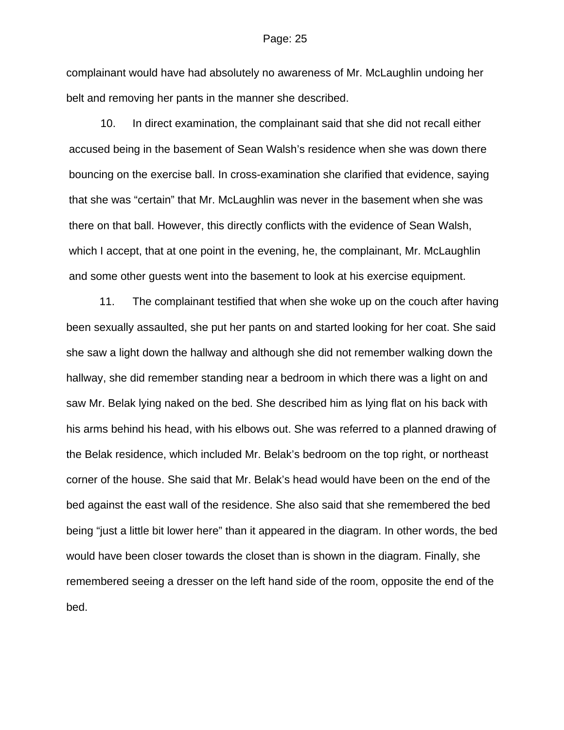complainant would have had absolutely no awareness of Mr. McLaughlin undoing her belt and removing her pants in the manner she described.

10. In direct examination, the complainant said that she did not recall either accused being in the basement of Sean Walsh's residence when she was down there bouncing on the exercise ball. In cross-examination she clarified that evidence, saying that she was "certain" that Mr. McLaughlin was never in the basement when she was there on that ball. However, this directly conflicts with the evidence of Sean Walsh, which I accept, that at one point in the evening, he, the complainant, Mr. McLaughlin and some other guests went into the basement to look at his exercise equipment.

11. The complainant testified that when she woke up on the couch after having been sexually assaulted, she put her pants on and started looking for her coat. She said she saw a light down the hallway and although she did not remember walking down the hallway, she did remember standing near a bedroom in which there was a light on and saw Mr. Belak lying naked on the bed. She described him as lying flat on his back with his arms behind his head, with his elbows out. She was referred to a planned drawing of the Belak residence, which included Mr. Belak's bedroom on the top right, or northeast corner of the house. She said that Mr. Belak's head would have been on the end of the bed against the east wall of the residence. She also said that she remembered the bed being "just a little bit lower here" than it appeared in the diagram. In other words, the bed would have been closer towards the closet than is shown in the diagram. Finally, she remembered seeing a dresser on the left hand side of the room, opposite the end of the bed.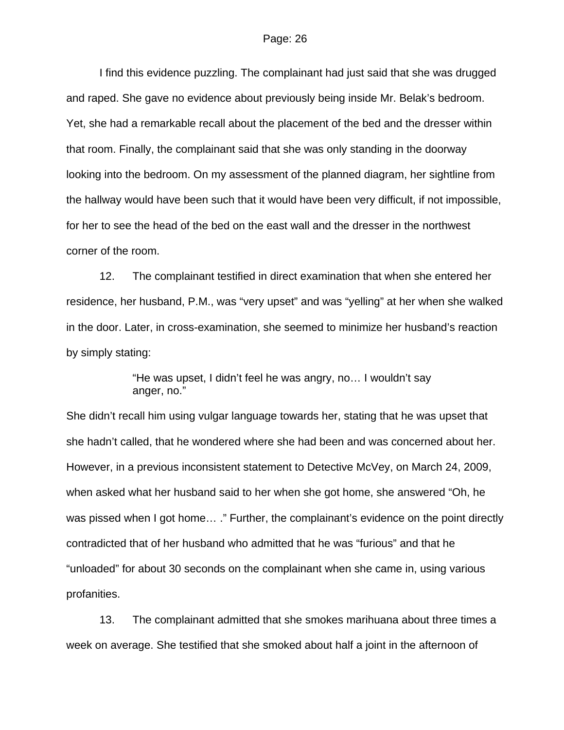I find this evidence puzzling. The complainant had just said that she was drugged and raped. She gave no evidence about previously being inside Mr. Belak's bedroom. Yet, she had a remarkable recall about the placement of the bed and the dresser within that room. Finally, the complainant said that she was only standing in the doorway looking into the bedroom. On my assessment of the planned diagram, her sightline from the hallway would have been such that it would have been very difficult, if not impossible, for her to see the head of the bed on the east wall and the dresser in the northwest corner of the room.

12. The complainant testified in direct examination that when she entered her residence, her husband, P.M., was "very upset" and was "yelling" at her when she walked in the door. Later, in cross-examination, she seemed to minimize her husband's reaction by simply stating:

> "He was upset, I didn't feel he was angry, no… I wouldn't say anger, no."

She didn't recall him using vulgar language towards her, stating that he was upset that she hadn't called, that he wondered where she had been and was concerned about her. However, in a previous inconsistent statement to Detective McVey, on March 24, 2009, when asked what her husband said to her when she got home, she answered "Oh, he was pissed when I got home... ." Further, the complainant's evidence on the point directly contradicted that of her husband who admitted that he was "furious" and that he "unloaded" for about 30 seconds on the complainant when she came in, using various profanities.

13. The complainant admitted that she smokes marihuana about three times a week on average. She testified that she smoked about half a joint in the afternoon of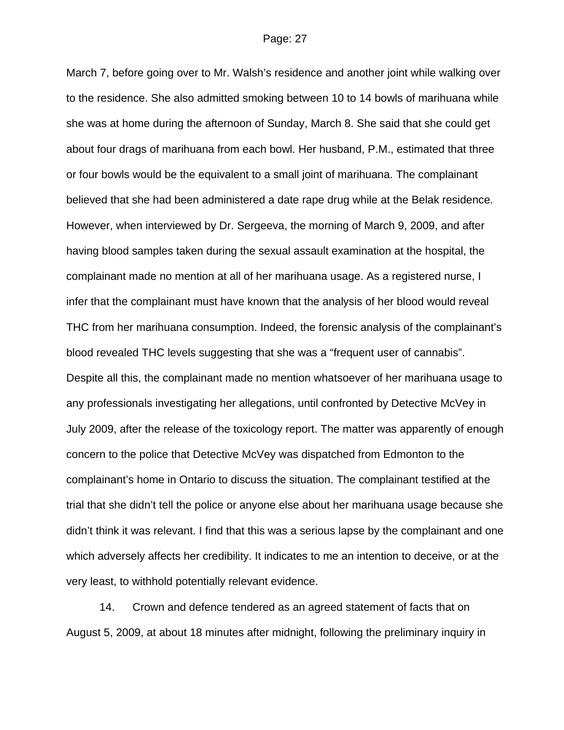March 7, before going over to Mr. Walsh's residence and another joint while walking over to the residence. She also admitted smoking between 10 to 14 bowls of marihuana while she was at home during the afternoon of Sunday, March 8. She said that she could get about four drags of marihuana from each bowl. Her husband, P.M., estimated that three or four bowls would be the equivalent to a small joint of marihuana. The complainant believed that she had been administered a date rape drug while at the Belak residence. However, when interviewed by Dr. Sergeeva, the morning of March 9, 2009, and after having blood samples taken during the sexual assault examination at the hospital, the complainant made no mention at all of her marihuana usage. As a registered nurse, I infer that the complainant must have known that the analysis of her blood would reveal THC from her marihuana consumption. Indeed, the forensic analysis of the complainant's blood revealed THC levels suggesting that she was a "frequent user of cannabis". Despite all this, the complainant made no mention whatsoever of her marihuana usage to any professionals investigating her allegations, until confronted by Detective McVey in July 2009, after the release of the toxicology report. The matter was apparently of enough concern to the police that Detective McVey was dispatched from Edmonton to the complainant's home in Ontario to discuss the situation. The complainant testified at the trial that she didn't tell the police or anyone else about her marihuana usage because she didn't think it was relevant. I find that this was a serious lapse by the complainant and one which adversely affects her credibility. It indicates to me an intention to deceive, or at the very least, to withhold potentially relevant evidence.

14. Crown and defence tendered as an agreed statement of facts that on August 5, 2009, at about 18 minutes after midnight, following the preliminary inquiry in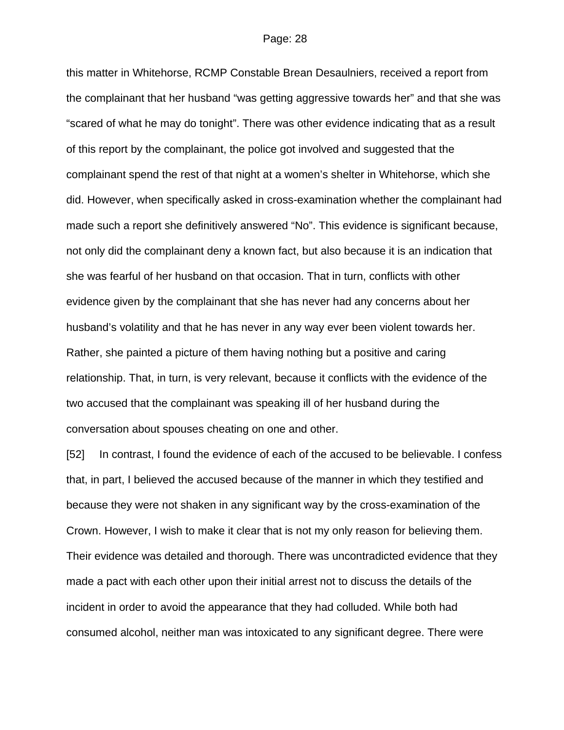this matter in Whitehorse, RCMP Constable Brean Desaulniers, received a report from the complainant that her husband "was getting aggressive towards her" and that she was "scared of what he may do tonight". There was other evidence indicating that as a result of this report by the complainant, the police got involved and suggested that the complainant spend the rest of that night at a women's shelter in Whitehorse, which she did. However, when specifically asked in cross-examination whether the complainant had made such a report she definitively answered "No". This evidence is significant because, not only did the complainant deny a known fact, but also because it is an indication that she was fearful of her husband on that occasion. That in turn, conflicts with other evidence given by the complainant that she has never had any concerns about her husband's volatility and that he has never in any way ever been violent towards her. Rather, she painted a picture of them having nothing but a positive and caring relationship. That, in turn, is very relevant, because it conflicts with the evidence of the two accused that the complainant was speaking ill of her husband during the conversation about spouses cheating on one and other.

[52] In contrast, I found the evidence of each of the accused to be believable. I confess that, in part, I believed the accused because of the manner in which they testified and because they were not shaken in any significant way by the cross-examination of the Crown. However, I wish to make it clear that is not my only reason for believing them. Their evidence was detailed and thorough. There was uncontradicted evidence that they made a pact with each other upon their initial arrest not to discuss the details of the incident in order to avoid the appearance that they had colluded. While both had consumed alcohol, neither man was intoxicated to any significant degree. There were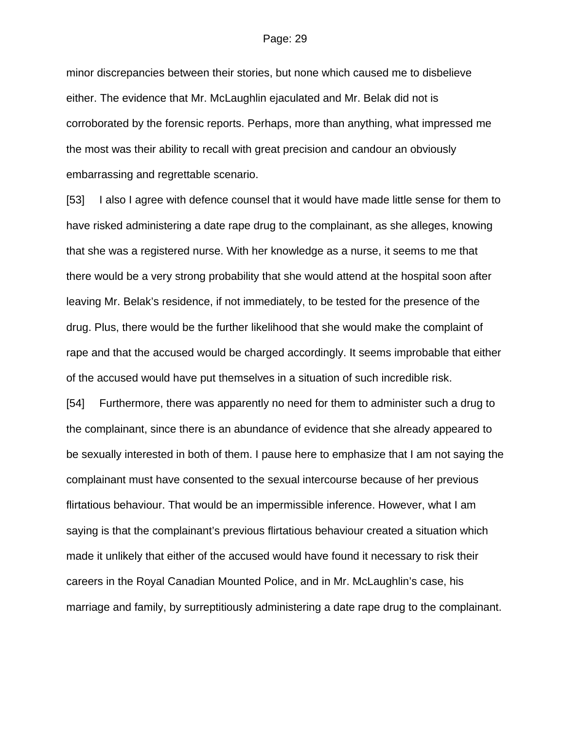minor discrepancies between their stories, but none which caused me to disbelieve either. The evidence that Mr. McLaughlin ejaculated and Mr. Belak did not is corroborated by the forensic reports. Perhaps, more than anything, what impressed me the most was their ability to recall with great precision and candour an obviously embarrassing and regrettable scenario.

[53] I also I agree with defence counsel that it would have made little sense for them to have risked administering a date rape drug to the complainant, as she alleges, knowing that she was a registered nurse. With her knowledge as a nurse, it seems to me that there would be a very strong probability that she would attend at the hospital soon after leaving Mr. Belak's residence, if not immediately, to be tested for the presence of the drug. Plus, there would be the further likelihood that she would make the complaint of rape and that the accused would be charged accordingly. It seems improbable that either of the accused would have put themselves in a situation of such incredible risk.

[54] Furthermore, there was apparently no need for them to administer such a drug to the complainant, since there is an abundance of evidence that she already appeared to be sexually interested in both of them. I pause here to emphasize that I am not saying the complainant must have consented to the sexual intercourse because of her previous flirtatious behaviour. That would be an impermissible inference. However, what I am saying is that the complainant's previous flirtatious behaviour created a situation which made it unlikely that either of the accused would have found it necessary to risk their careers in the Royal Canadian Mounted Police, and in Mr. McLaughlin's case, his marriage and family, by surreptitiously administering a date rape drug to the complainant.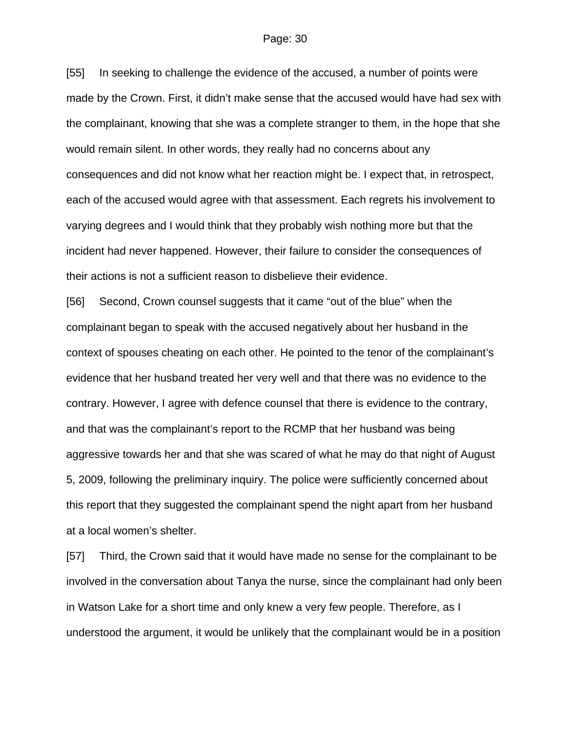[55] In seeking to challenge the evidence of the accused, a number of points were made by the Crown. First, it didn't make sense that the accused would have had sex with the complainant, knowing that she was a complete stranger to them, in the hope that she would remain silent. In other words, they really had no concerns about any consequences and did not know what her reaction might be. I expect that, in retrospect, each of the accused would agree with that assessment. Each regrets his involvement to varying degrees and I would think that they probably wish nothing more but that the incident had never happened. However, their failure to consider the consequences of their actions is not a sufficient reason to disbelieve their evidence.

[56] Second, Crown counsel suggests that it came "out of the blue" when the complainant began to speak with the accused negatively about her husband in the context of spouses cheating on each other. He pointed to the tenor of the complainant's evidence that her husband treated her very well and that there was no evidence to the contrary. However, I agree with defence counsel that there is evidence to the contrary, and that was the complainant's report to the RCMP that her husband was being aggressive towards her and that she was scared of what he may do that night of August 5, 2009, following the preliminary inquiry. The police were sufficiently concerned about this report that they suggested the complainant spend the night apart from her husband at a local women's shelter.

[57] Third, the Crown said that it would have made no sense for the complainant to be involved in the conversation about Tanya the nurse, since the complainant had only been in Watson Lake for a short time and only knew a very few people. Therefore, as I understood the argument, it would be unlikely that the complainant would be in a position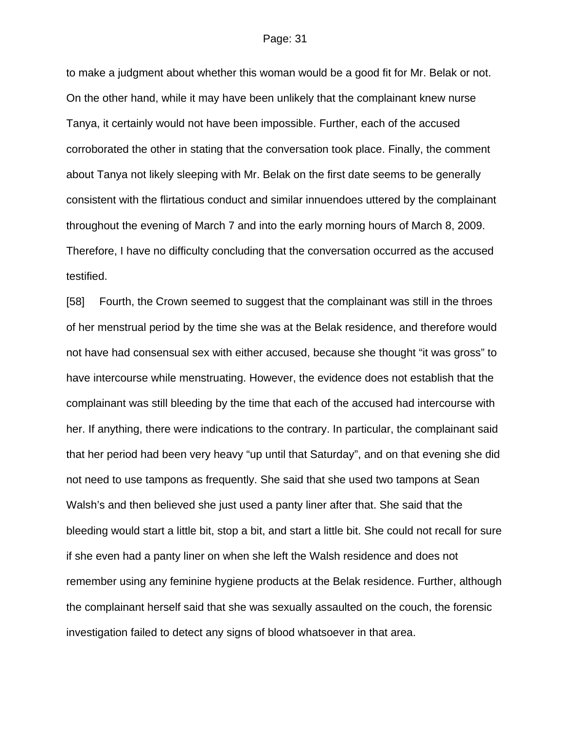to make a judgment about whether this woman would be a good fit for Mr. Belak or not. On the other hand, while it may have been unlikely that the complainant knew nurse Tanya, it certainly would not have been impossible. Further, each of the accused corroborated the other in stating that the conversation took place. Finally, the comment about Tanya not likely sleeping with Mr. Belak on the first date seems to be generally consistent with the flirtatious conduct and similar innuendoes uttered by the complainant throughout the evening of March 7 and into the early morning hours of March 8, 2009. Therefore, I have no difficulty concluding that the conversation occurred as the accused testified.

[58] Fourth, the Crown seemed to suggest that the complainant was still in the throes of her menstrual period by the time she was at the Belak residence, and therefore would not have had consensual sex with either accused, because she thought "it was gross" to have intercourse while menstruating. However, the evidence does not establish that the complainant was still bleeding by the time that each of the accused had intercourse with her. If anything, there were indications to the contrary. In particular, the complainant said that her period had been very heavy "up until that Saturday", and on that evening she did not need to use tampons as frequently. She said that she used two tampons at Sean Walsh's and then believed she just used a panty liner after that. She said that the bleeding would start a little bit, stop a bit, and start a little bit. She could not recall for sure if she even had a panty liner on when she left the Walsh residence and does not remember using any feminine hygiene products at the Belak residence. Further, although the complainant herself said that she was sexually assaulted on the couch, the forensic investigation failed to detect any signs of blood whatsoever in that area.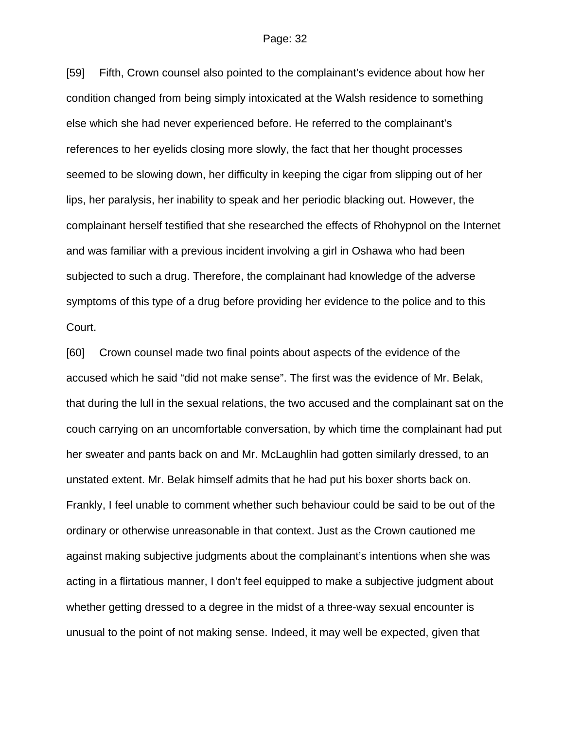[59] Fifth, Crown counsel also pointed to the complainant's evidence about how her condition changed from being simply intoxicated at the Walsh residence to something else which she had never experienced before. He referred to the complainant's references to her eyelids closing more slowly, the fact that her thought processes seemed to be slowing down, her difficulty in keeping the cigar from slipping out of her lips, her paralysis, her inability to speak and her periodic blacking out. However, the complainant herself testified that she researched the effects of Rhohypnol on the Internet and was familiar with a previous incident involving a girl in Oshawa who had been subjected to such a drug. Therefore, the complainant had knowledge of the adverse symptoms of this type of a drug before providing her evidence to the police and to this Court.

[60] Crown counsel made two final points about aspects of the evidence of the accused which he said "did not make sense". The first was the evidence of Mr. Belak, that during the lull in the sexual relations, the two accused and the complainant sat on the couch carrying on an uncomfortable conversation, by which time the complainant had put her sweater and pants back on and Mr. McLaughlin had gotten similarly dressed, to an unstated extent. Mr. Belak himself admits that he had put his boxer shorts back on. Frankly, I feel unable to comment whether such behaviour could be said to be out of the ordinary or otherwise unreasonable in that context. Just as the Crown cautioned me against making subjective judgments about the complainant's intentions when she was acting in a flirtatious manner, I don't feel equipped to make a subjective judgment about whether getting dressed to a degree in the midst of a three-way sexual encounter is unusual to the point of not making sense. Indeed, it may well be expected, given that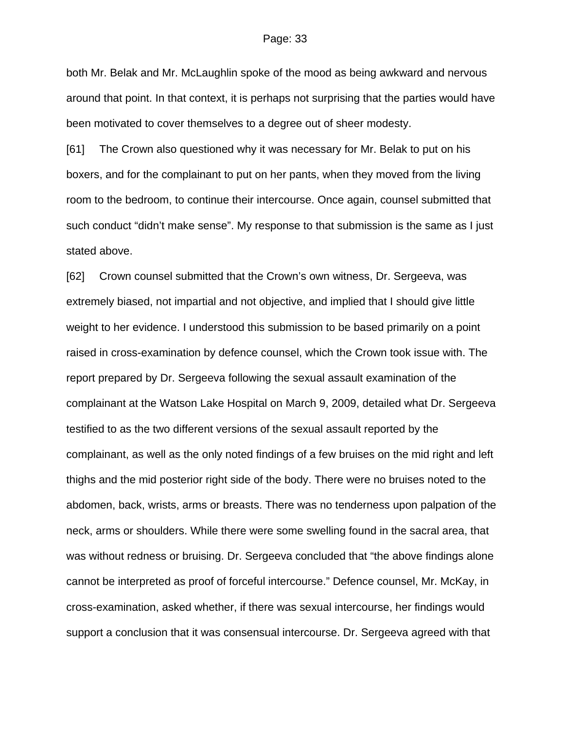both Mr. Belak and Mr. McLaughlin spoke of the mood as being awkward and nervous around that point. In that context, it is perhaps not surprising that the parties would have been motivated to cover themselves to a degree out of sheer modesty.

[61] The Crown also questioned why it was necessary for Mr. Belak to put on his boxers, and for the complainant to put on her pants, when they moved from the living room to the bedroom, to continue their intercourse. Once again, counsel submitted that such conduct "didn't make sense". My response to that submission is the same as I just stated above.

[62] Crown counsel submitted that the Crown's own witness, Dr. Sergeeva, was extremely biased, not impartial and not objective, and implied that I should give little weight to her evidence. I understood this submission to be based primarily on a point raised in cross-examination by defence counsel, which the Crown took issue with. The report prepared by Dr. Sergeeva following the sexual assault examination of the complainant at the Watson Lake Hospital on March 9, 2009, detailed what Dr. Sergeeva testified to as the two different versions of the sexual assault reported by the complainant, as well as the only noted findings of a few bruises on the mid right and left thighs and the mid posterior right side of the body. There were no bruises noted to the abdomen, back, wrists, arms or breasts. There was no tenderness upon palpation of the neck, arms or shoulders. While there were some swelling found in the sacral area, that was without redness or bruising. Dr. Sergeeva concluded that "the above findings alone cannot be interpreted as proof of forceful intercourse." Defence counsel, Mr. McKay, in cross-examination, asked whether, if there was sexual intercourse, her findings would support a conclusion that it was consensual intercourse. Dr. Sergeeva agreed with that